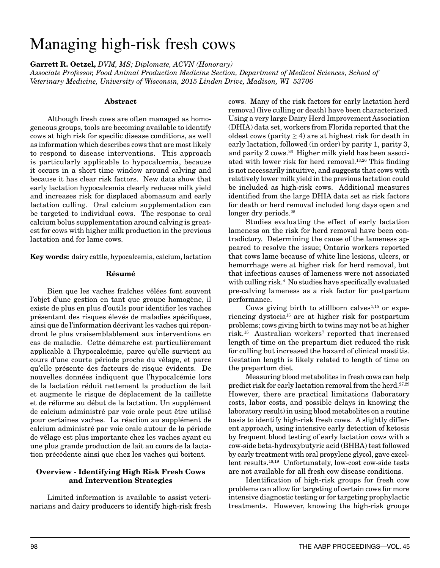# Managing high-risk fresh cows

**Garrett R. Oetzel,** *DVM, MS; Diplomate, ACVN (Honorary)*

*Associate Professor, Food Animal Production Medicine Section, Department of Medical Sciences, School of Veterinary Medicine, University of Wisconsin, 2015 Linden Drive, Madison, WI 53706*

## **Abstract**

Although fresh cows are often managed as homogeneous groups, tools are becoming available to identify cows at high risk for specific disease conditions, as well as information which describes cows that are most likely to respond to disease interventions. This approach is particularly applicable to hypocalcemia, because it occurs in a short time window around calving and because it has clear risk factors. New data show that early lactation hypocalcemia clearly reduces milk yield and increases risk for displaced abomasum and early lactation culling. Oral calcium supplementation can be targeted to individual cows. The response to oral calcium bolus supplementation around calving is greatest for cows with higher milk production in the previous lactation and for lame cows.

**Key words:** dairy cattle, hypocalcemia, calcium, lactation

# **Résumé**

Bien que les vaches fraîches vêlées font souvent l'objet d'une gestion en tant que groupe homogène, il existe de plus en plus d'outils pour identifier les vaches présentant des risques élevés de maladies spécifiques, ainsi que de l'information décrivant les vaches qui répondront le plus vraisemblablement aux interventions en cas de maladie. Cette démarche est particulièrement applicable à l'hypocalcémie, parce qu'elle survient au cours d'une courte période proche du vêlage, et parce qu'elle présente des facteurs de risque évidents. De nouvelles données indiquent que l'hypocalcémie lors de la lactation réduit nettement la production de lait et augmente le risque de déplacement de la caillette et de réforme au début de la lactation. Un supplément de calcium administré par voie orale peut être utilisé pour certaines vaches. La réaction au supplément de calcium administré par voie orale autour de la période de vêlage est plus importante chez les vaches ayant eu une plus grande production de lait au cours de la lactation précédente ainsi que chez les vaches qui boitent.

# **Overview - Identifying High Risk Fresh Cows and Intervention Strategies**

Limited information is available to assist veterinarians and dairy producers to identify high-risk fresh cows. Many of the risk factors for early lactation herd removal (live culling or death) have been characterized. Using a very large Dairy Herd Improvement Association (DHIA) data set, workers from Florida reported that the oldest cows (parity  $\geq$  4) are at highest risk for death in early lactation, followed (in order) by parity 1, parity 3, and parity 2 cows.26 Higher milk yield has been associated with lower risk for herd removal.13,26 This finding is not necessarily intuitive, and suggests that cows with relatively lower milk yield in the previous lactation could be included as high-risk cows. Additional measures identified from the large DHIA data set as risk factors for death or herd removal included long days open and longer dry periods.<sup>25</sup>

Studies evaluating the effect of early lactation lameness on the risk for herd removal have been contradictory. Determining the cause of the lameness appeared to resolve the issue; Ontario workers reported that cows lame because of white line lesions, ulcers, or hemorrhage were at higher risk for herd removal, but that infectious causes of lameness were not associated with culling risk.4 No studies have specifically evaluated pre-calving lameness as a risk factor for postpartum performance.

Cows giving birth to stillborn calves<sup> $1,15$ </sup> or experiencing dystocia15 are at higher risk for postpartum problems; cows giving birth to twins may not be at higher risk.<sup>15</sup> Australian workers<sup>7</sup> reported that increased length of time on the prepartum diet reduced the risk for culling but increased the hazard of clinical mastitis. Gestation length is likely related to length of time on the prepartum diet.

Measuring blood metabolites in fresh cows can help predict risk for early lactation removal from the herd.<sup>27,29</sup> However, there are practical limitations (laboratory costs, labor costs, and possible delays in knowing the laboratory result) in using blood metabolites on a routine basis to identify high-risk fresh cows. A slightly different approach, using intensive early detection of ketosis by frequent blood testing of early lactation cows with a cow-side beta-hydroxybutyric acid (BHBA) test followed by early treatment with oral propylene glycol, gave excellent results.18,19 Unfortunately, low-cost cow-side tests are not available for all fresh cow disease conditions.

Identification of high-risk groups for fresh cow problems can allow for targeting of certain cows for more intensive diagnostic testing or for targeting prophylactic treatments. However, knowing the high-risk groups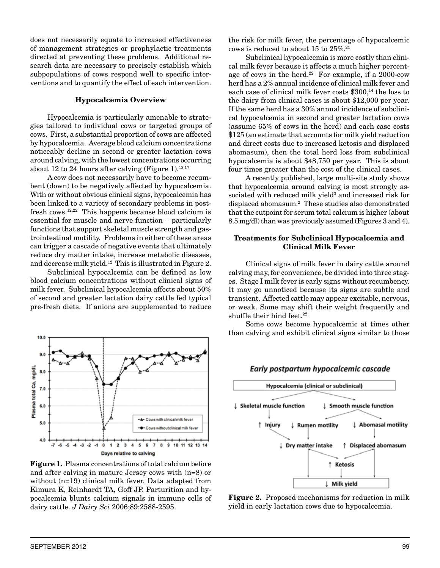does not necessarily equate to increased effectiveness of management strategies or prophylactic treatments directed at preventing these problems. Additional research data are necessary to precisely establish which subpopulations of cows respond well to specific interventions and to quantify the effect of each intervention.

## **Hypocalcemia Overview**

Hypocalcemia is particularly amenable to strategies tailored to individual cows or targeted groups of cows. First, a substantial proportion of cows are affected by hypocalcemia. Average blood calcium concentrations noticeably decline in second or greater lactation cows around calving, with the lowest concentrations occurring about 12 to 24 hours after calving (Figure 1).<sup>12,17</sup>

A cow does not necessarily have to become recumbent (down) to be negatively affected by hypocalcemia. With or without obvious clinical signs, hypocalcemia has been linked to a variety of secondary problems in postfresh cows.12,22 This happens because blood calcium is essential for muscle and nerve function – particularly functions that support skeletal muscle strength and gastrointestinal motility. Problems in either of these areas can trigger a cascade of negative events that ultimately reduce dry matter intake, increase metabolic diseases, and decrease milk yield.12 This is illustrated in Figure 2.

Subclinical hypocalcemia can be defined as low blood calcium concentrations without clinical signs of milk fever. Subclinical hypocalcemia affects about 50% of second and greater lactation dairy cattle fed typical pre-fresh diets. If anions are supplemented to reduce



**Figure 1.** Plasma concentrations of total calcium before and after calving in mature Jersey cows with (n=8) or without (n=19) clinical milk fever. Data adapted from Kimura K, Reinhardt TA, Goff JP. Parturition and hypocalcemia blunts calcium signals in immune cells of dairy cattle. *J Dairy Sci* 2006;89:2588-2595.

the risk for milk fever, the percentage of hypocalcemic cows is reduced to about 15 to 25%.21

Subclinical hypocalcemia is more costly than clinical milk fever because it affects a much higher percentage of cows in the herd. $22$  For example, if a 2000-cow herd has a 2% annual incidence of clinical milk fever and each case of clinical milk fever costs \$300,<sup>14</sup> the loss to the dairy from clinical cases is about \$12,000 per year. If the same herd has a 30% annual incidence of subclinical hypocalcemia in second and greater lactation cows (assume 65% of cows in the herd) and each case costs \$125 (an estimate that accounts for milk yield reduction and direct costs due to increased ketosis and displaced abomasum), then the total herd loss from subclinical hypocalcemia is about \$48,750 per year. This is about four times greater than the cost of the clinical cases.

A recently published, large multi-site study shows that hypocalcemia around calving is most strongly associated with reduced milk yield<sup>3</sup> and increased risk for displaced abomasum.2 These studies also demonstrated that the cutpoint for serum total calcium is higher (about 8.5 mg/dl) than was previously assumed (Figures 3 and 4).

# **Treatments for Subclinical Hypocalcemia and Clinical Milk Fever**

Clinical signs of milk fever in dairy cattle around calving may, for convenience, be divided into three stages. Stage I milk fever is early signs without recumbency. It may go unnoticed because its signs are subtle and transient. Affected cattle may appear excitable, nervous, or weak. Some may shift their weight frequently and shuffle their hind feet.<sup>22</sup>

Some cows become hypocalcemic at times other than calving and exhibit clinical signs similar to those



# Early postpartum hypocalcemic cascade

**Figure 2.** Proposed mechanisms for reduction in milk yield in early lactation cows due to hypocalcemia.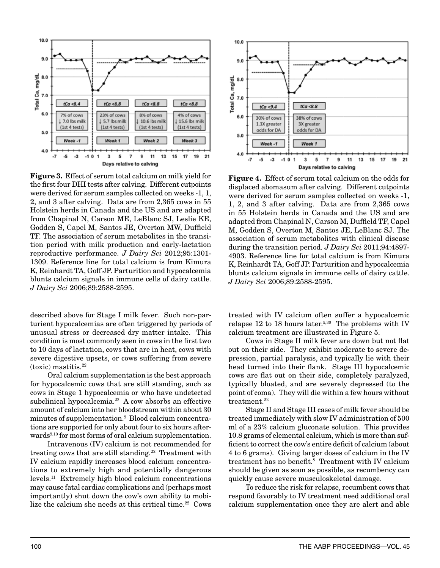

**Figure 3.** Effect of serum total calcium on milk yield for the first four DHI tests after calving. Different cutpoints were derived for serum samples collected on weeks -1, 1, 2, and 3 after calving. Data are from 2,365 cows in 55 Holstein herds in Canada and the US and are adapted from Chapinal N, Carson ME, LeBlanc SJ, Leslie KE, Godden S, Capel M, Santos JE, Overton MW, Duffield TF. The association of serum metabolites in the transition period with milk production and early-lactation reproductive performance. *J Dairy Sci* 2012;95:1301- 1309. Reference line for total calcium is from Kimura K, Reinhardt TA, Goff JP. Parturition and hypocalcemia blunts calcium signals in immune cells of dairy cattle. *J Dairy Sci* 2006;89:2588-2595.

described above for Stage I milk fever. Such non-parturient hypocalcemias are often triggered by periods of unusual stress or decreased dry matter intake. This condition is most commonly seen in cows in the first two to 10 days of lactation, cows that are in heat, cows with severe digestive upsets, or cows suffering from severe (toxic) mastitis.22

Oral calcium supplementation is the best approach for hypocalcemic cows that are still standing, such as cows in Stage 1 hypocalcemia or who have undetected subclinical hypocalcemia.<sup>22</sup> A cow absorbs an effective amount of calcium into her bloodstream within about 30 minutes of supplementation.<sup>9</sup> Blood calcium concentrations are supported for only about four to six hours afterwards<sup>9,10</sup> for most forms of oral calcium supplementation.

Intravenous (IV) calcium is not recommended for treating cows that are still standing.<sup>22</sup> Treatment with IV calcium rapidly increases blood calcium concentrations to extremely high and potentially dangerous levels.11 Extremely high blood calcium concentrations may cause fatal cardiac complications and (perhaps most importantly) shut down the cow's own ability to mobilize the calcium she needs at this critical time.<sup>22</sup> Cows



**Figure 4.** Effect of serum total calcium on the odds for displaced abomasum after calving. Different cutpoints were derived for serum samples collected on weeks -1, 1, 2, and 3 after calving. Data are from 2,365 cows in 55 Holstein herds in Canada and the US and are adapted from Chapinal N, Carson M, Duffield TF, Capel M, Godden S, Overton M, Santos JE, LeBlanc SJ. The association of serum metabolites with clinical disease during the transition period. *J Dairy Sci* 2011;94:4897- 4903. Reference line for total calcium is from Kimura K, Reinhardt TA, Goff JP. Parturition and hypocalcemia blunts calcium signals in immune cells of dairy cattle. *J Dairy Sci* 2006;89:2588-2595.

treated with IV calcium often suffer a hypocalcemic relapse 12 to 18 hours later.<sup>5,30</sup> The problems with IV calcium treatment are illustrated in Figure 5.

Cows in Stage II milk fever are down but not flat out on their side. They exhibit moderate to severe depression, partial paralysis, and typically lie with their head turned into their flank. Stage III hypocalcemic cows are flat out on their side, completely paralyzed, typically bloated, and are severely depressed (to the point of coma). They will die within a few hours without treatment.<sup>22</sup>

Stage II and Stage III cases of milk fever should be treated immediately with slow IV administration of 500 ml of a 23% calcium gluconate solution. This provides 10.8 grams of elemental calcium, which is more than sufficient to correct the cow's entire deficit of calcium (about 4 to 6 grams). Giving larger doses of calcium in the IV treatment has no benefit.8 Treatment with IV calcium should be given as soon as possible, as recumbency can quickly cause severe musculoskeletal damage.

To reduce the risk for relapse, recumbent cows that respond favorably to IV treatment need additional oral calcium supplementation once they are alert and able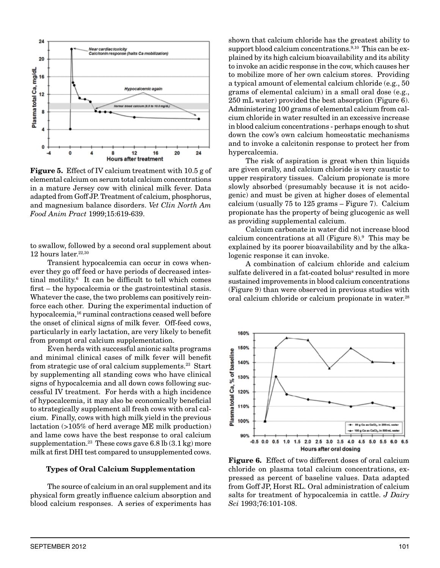

**Figure 5.** Effect of IV calcium treatment with 10.5 g of elemental calcium on serum total calcium concentrations in a mature Jersey cow with clinical milk fever. Data adapted from Goff JP. Treatment of calcium, phosphorus, and magnesium balance disorders. *Vet Clin North Am Food Anim Pract* 1999;15:619-639.

to swallow, followed by a second oral supplement about 12 hours later. $22,30$ 

Transient hypocalcemia can occur in cows whenever they go off feed or have periods of decreased intestinal motility.6 It can be difficult to tell which comes first – the hypocalcemia or the gastrointestinal stasis. Whatever the case, the two problems can positively reinforce each other. During the experimental induction of hypocalcemia,<sup>16</sup> ruminal contractions ceased well before the onset of clinical signs of milk fever. Off-feed cows, particularly in early lactation, are very likely to benefit from prompt oral calcium supplementation.

Even herds with successful anionic salts programs and minimal clinical cases of milk fever will benefit from strategic use of oral calcium supplements.23 Start by supplementing all standing cows who have clinical signs of hypocalcemia and all down cows following successful IV treatment. For herds with a high incidence of hypocalcemia, it may also be economically beneficial to strategically supplement all fresh cows with oral calcium. Finally, cows with high milk yield in the previous lactation (>105% of herd average ME milk production) and lame cows have the best response to oral calcium supplementation.<sup>23</sup> These cows gave  $6.8$  lb  $(3.1 \text{ kg})$  more milk at first DHI test compared to unsupplemented cows.

### **Types of Oral Calcium Supplementation**

The source of calcium in an oral supplement and its physical form greatly influence calcium absorption and blood calcium responses. A series of experiments has

shown that calcium chloride has the greatest ability to support blood calcium concentrations.<sup>9,10</sup> This can be explained by its high calcium bioavailability and its ability to invoke an acidic response in the cow, which causes her to mobilize more of her own calcium stores. Providing a typical amount of elemental calcium chloride (e.g., 50 grams of elemental calcium) in a small oral dose (e.g., 250 mL water) provided the best absorption (Figure 6). Administering 100 grams of elemental calcium from calcium chloride in water resulted in an excessive increase in blood calcium concentrations - perhaps enough to shut down the cow's own calcium homeostatic mechanisms and to invoke a calcitonin response to protect her from hypercalcemia.

The risk of aspiration is great when thin liquids are given orally, and calcium chloride is very caustic to upper respiratory tissues. Calcium propionate is more slowly absorbed (presumably because it is not acidogenic) and must be given at higher doses of elemental calcium (usually 75 to 125 grams – Figure 7). Calcium propionate has the property of being glucogenic as well as providing supplemental calcium.

Calcium carbonate in water did not increase blood calcium concentrations at all (Figure 8).9 This may be explained by its poorer bioavailability and by the alkalogenic response it can invoke.

A combination of calcium chloride and calcium sulfate delivered in a fat-coated bolus<sup>a</sup> resulted in more sustained improvements in blood calcium concentrations (Figure 9) than were observed in previous studies with oral calcium chloride or calcium propionate in water.<sup>28</sup>



**Figure 6.** Effect of two different doses of oral calcium chloride on plasma total calcium concentrations, expressed as percent of baseline values. Data adapted from Goff JP, Horst RL. Oral administration of calcium salts for treatment of hypocalcemia in cattle. *J Dairy Sci* 1993;76:101-108.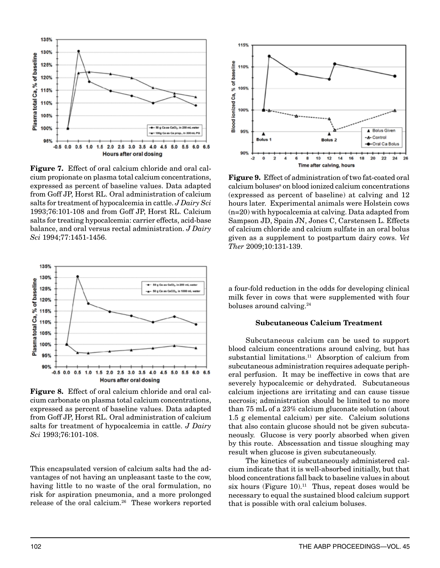

**Figure 7.** Effect of oral calcium chloride and oral calcium propionate on plasma total calcium concentrations, expressed as percent of baseline values. Data adapted from Goff JP, Horst RL. Oral administration of calcium salts for treatment of hypocalcemia in cattle. *J Dairy Sci* 1993;76:101-108 and from Goff JP, Horst RL. Calcium salts for treating hypocalcemia: carrier effects, acid-base balance, and oral versus rectal administration. *J Dairy Sci* 1994;77:1451-1456.



**Figure 8.** Effect of oral calcium chloride and oral calcium carbonate on plasma total calcium concentrations, expressed as percent of baseline values. Data adapted from Goff JP, Horst RL. Oral administration of calcium salts for treatment of hypocalcemia in cattle. *J Dairy Sci* 1993;76:101-108.

This encapsulated version of calcium salts had the advantages of not having an unpleasant taste to the cow, having little to no waste of the oral formulation, no risk for aspiration pneumonia, and a more prolonged release of the oral calcium.26 These workers reported



**Figure 9.** Effect of administration of two fat-coated oral calcium boluses<sup>a</sup> on blood ionized calcium concentrations (expressed as percent of baseline) at calving and 12 hours later. Experimental animals were Holstein cows (n=20) with hypocalcemia at calving. Data adapted from Sampson JD, Spain JN, Jones C, Carstensen L. Effects of calcium chloride and calcium sulfate in an oral bolus given as a supplement to postpartum dairy cows. *Vet Ther* 2009;10:131-139.

a four-fold reduction in the odds for developing clinical milk fever in cows that were supplemented with four boluses around calving.24

# **Subcutaneous Calcium Treatment**

Subcutaneous calcium can be used to support blood calcium concentrations around calving, but has substantial limitations.<sup>11</sup> Absorption of calcium from subcutaneous administration requires adequate peripheral perfusion. It may be ineffective in cows that are severely hypocalcemic or dehydrated. Subcutaneous calcium injections are irritating and can cause tissue necrosis; administration should be limited to no more than 75 mL of a 23% calcium gluconate solution (about 1.5 g elemental calcium) per site. Calcium solutions that also contain glucose should not be given subcutaneously. Glucose is very poorly absorbed when given by this route. Abscessation and tissue sloughing may result when glucose is given subcutaneously.

The kinetics of subcutaneously administered calcium indicate that it is well-absorbed initially, but that blood concentrations fall back to baseline values in about six hours (Figure 10).<sup>11</sup> Thus, repeat doses would be necessary to equal the sustained blood calcium support that is possible with oral calcium boluses.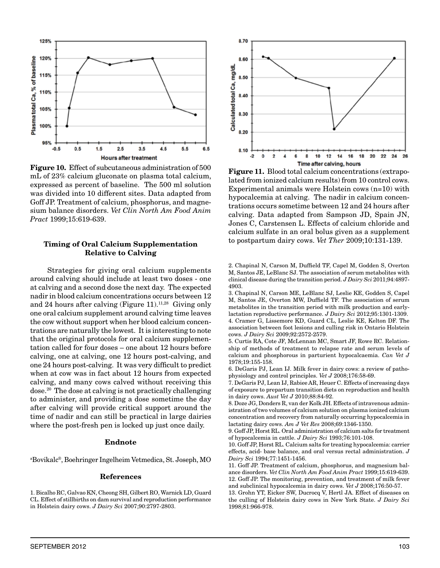

**Figure 10.** Effect of subcutaneous administration of 500 mL of 23% calcium gluconate on plasma total calcium, expressed as percent of baseline. The 500 ml solution was divided into 10 different sites. Data adapted from Goff JP. Treatment of calcium, phosphorus, and magnesium balance disorders. *Vet Clin North Am Food Anim Pract* 1999;15:619-639.

## **Timing of Oral Calcium Supplementation Relative to Calving**

Strategies for giving oral calcium supplements around calving should include at least two doses - one at calving and a second dose the next day. The expected nadir in blood calcium concentrations occurs between 12 and 24 hours after calving (Figure 11).<sup>11,28</sup> Giving only one oral calcium supplement around calving time leaves the cow without support when her blood calcium concentrations are naturally the lowest. It is interesting to note that the original protocols for oral calcium supplementation called for four doses – one about 12 hours before calving, one at calving, one 12 hours post-calving, and one 24 hours post-calving. It was very difficult to predict when at cow was in fact about 12 hours from expected calving, and many cows calved without receiving this dose.20 The dose at calving is not practically challenging to administer, and providing a dose sometime the day after calving will provide critical support around the time of nadir and can still be practical in large dairies where the post-fresh pen is locked up just once daily.

### **Endnote**

a Bovikalc®, Boehringer Ingelheim Vetmedica, St. Joseph, MO

#### **References**



**Figure 11.** Blood total calcium concentrations (extrapolated from ionized calcium results) from 10 control cows. Experimental animals were Holstein cows (n=10) with hypocalcemia at calving. The nadir in calcium concentrations occurs sometime between 12 and 24 hours after calving. Data adapted from Sampson JD, Spain JN, Jones C, Carstensen L. Effects of calcium chloride and calcium sulfate in an oral bolus given as a supplement to postpartum dairy cows. *Vet Ther* 2009;10:131-139.

2. Chapinal N, Carson M, Duffield TF, Capel M, Godden S, Overton M, Santos JE, LeBlanc SJ. The association of serum metabolites with clinical disease during the transition period. *J Dairy Sci* 2011;94:4897- 4903.

3. Chapinal N, Carson ME, LeBlanc SJ, Leslie KE, Godden S, Capel M, Santos JE, Overton MW, Duffield TF. The association of serum metabolites in the transition period with milk production and earlylactation reproductive performance. *J Dairy Sci* 2012;95:1301-1309. 4. Cramer G, Lissemore KD, Guard CL, Leslie KE, Kelton DF. The association between foot lesions and culling risk in Ontario Holstein cows. *J Dairy Sci* 2009;92:2572-2579.

5. Curtis RA, Cote JF, McLennan MC, Smart JF, Rowe RC. Relationship of methods of treatment to relapse rate and serum levels of calcium and phosphorous in parturient hypocalcaemia. *Can Vet J* 1978;19:155-158.

6. DeGaris PJ, Lean IJ. Milk fever in dairy cows: a review of pathophysiology and control principles. *Vet J* 2008;176:58-69.

7. DeGaris PJ, Lean IJ, Rabiee AR, Heuer C. Effects of increasing days of exposure to prepartum transition diets on reproduction and health in dairy cows. *Aust Vet J* 2010;88:84-92.

8. Doze JG, Donders R, van der Kolk JH. Effects of intravenous administration of two volumes of calcium solution on plasma ionized calcium concentration and recovery from naturally occurring hypocalcemia in lactating dairy cows. *Am J Vet Res* 2008;69:1346-1350.

9. Goff JP, Horst RL. Oral administration of calcium salts for treatment of hypocalcemia in cattle. *J Dairy Sci* 1993;76:101-108.

10. Goff JP, Horst RL. Calcium salts for treating hypocalcemia: carrier effects, acid- base balance, and oral versus rectal administration. *J Dairy Sci* 1994;77:1451-1456.

11. Goff JP. Treatment of calcium, phosphorus, and magnesium balance disorders. *Vet Clin North Am Food Anim Pract* 1999;15:619-639. 12. Goff JP. The monitoring, prevention, and treatment of milk fever and subclinical hypocalcemia in dairy cows. *Vet J* 2008;176:50-57.

13. Grohn YT, Eicker SW, Ducrocq V, Hertl JA. Effect of diseases on the culling of Holstein dairy cows in New York State. *J Dairy Sci* 1998;81:966-978.

<sup>1.</sup> Bicalho RC, Galvao KN, Cheong SH, Gilbert RO, Warnick LD, Guard CL. Effect of stillbirths on dam survival and reproduction performance in Holstein dairy cows. *J Dairy Sci* 2007;90:2797-2803.